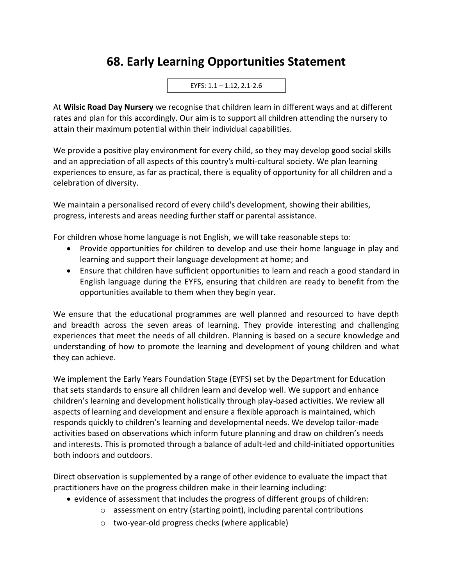## **68. Early Learning Opportunities Statement**

EYFS: 1.1 – 1.12, 2.1-2.6

At **Wilsic Road Day Nursery** we recognise that children learn in different ways and at different rates and plan for this accordingly. Our aim is to support all children attending the nursery to attain their maximum potential within their individual capabilities.

We provide a positive play environment for every child, so they may develop good social skills and an appreciation of all aspects of this country's multi-cultural society. We plan learning experiences to ensure, as far as practical, there is equality of opportunity for all children and a celebration of diversity.

We maintain a personalised record of every child's development, showing their abilities, progress, interests and areas needing further staff or parental assistance.

For children whose home language is not English, we will take reasonable steps to:

- Provide opportunities for children to develop and use their home language in play and learning and support their language development at home; and
- Ensure that children have sufficient opportunities to learn and reach a good standard in English language during the EYFS, ensuring that children are ready to benefit from the opportunities available to them when they begin year.

We ensure that the educational programmes are well planned and resourced to have depth and breadth across the seven areas of learning. They provide interesting and challenging experiences that meet the needs of all children. Planning is based on a secure knowledge and understanding of how to promote the learning and development of young children and what they can achieve.

We implement the Early Years Foundation Stage (EYFS) set by the Department for Education that sets standards to ensure all children learn and develop well. We support and enhance children's learning and development holistically through play-based activities. We review all aspects of learning and development and ensure a flexible approach is maintained, which responds quickly to children's learning and developmental needs. We develop tailor-made activities based on observations which inform future planning and draw on children's needs and interests. This is promoted through a balance of adult-led and child-initiated opportunities both indoors and outdoors.

Direct observation is supplemented by a range of other evidence to evaluate the impact that practitioners have on the progress children make in their learning including:

- evidence of assessment that includes the progress of different groups of children:
	- o assessment on entry (starting point), including parental contributions
	- o two-year-old progress checks (where applicable)